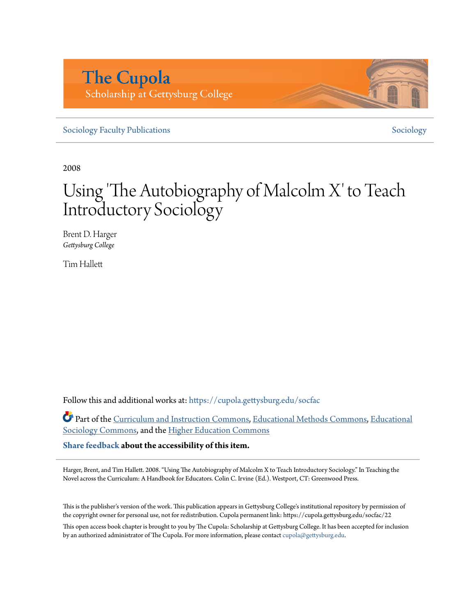# **The Cupola** Scholarship at Gettysburg College

[Sociology Faculty Publications](https://cupola.gettysburg.edu/socfac?utm_source=cupola.gettysburg.edu%2Fsocfac%2F22&utm_medium=PDF&utm_campaign=PDFCoverPages) [Sociology](https://cupola.gettysburg.edu/sociology?utm_source=cupola.gettysburg.edu%2Fsocfac%2F22&utm_medium=PDF&utm_campaign=PDFCoverPages)

2008

# Using 'The Autobiography of Malcolm X' to Teach Introductory Sociology

Brent D. Harger *Gettysburg College*

Tim Hallett

Follow this and additional works at: [https://cupola.gettysburg.edu/socfac](https://cupola.gettysburg.edu/socfac?utm_source=cupola.gettysburg.edu%2Fsocfac%2F22&utm_medium=PDF&utm_campaign=PDFCoverPages)

Part of the [Curriculum and Instruction Commons](http://network.bepress.com/hgg/discipline/786?utm_source=cupola.gettysburg.edu%2Fsocfac%2F22&utm_medium=PDF&utm_campaign=PDFCoverPages), [Educational Methods Commons,](http://network.bepress.com/hgg/discipline/1227?utm_source=cupola.gettysburg.edu%2Fsocfac%2F22&utm_medium=PDF&utm_campaign=PDFCoverPages) [Educational](http://network.bepress.com/hgg/discipline/1071?utm_source=cupola.gettysburg.edu%2Fsocfac%2F22&utm_medium=PDF&utm_campaign=PDFCoverPages) [Sociology Commons,](http://network.bepress.com/hgg/discipline/1071?utm_source=cupola.gettysburg.edu%2Fsocfac%2F22&utm_medium=PDF&utm_campaign=PDFCoverPages) and the [Higher Education Commons](http://network.bepress.com/hgg/discipline/1245?utm_source=cupola.gettysburg.edu%2Fsocfac%2F22&utm_medium=PDF&utm_campaign=PDFCoverPages)

**[Share feedback](https://docs.google.com/a/bepress.com/forms/d/1h9eEcpBPj5POs5oO6Y5A0blXRmZqykoonyYiZUNyEq8/viewform) about the accessibility of this item.**

Harger, Brent, and Tim Hallett. 2008. "Using The Autobiography of Malcolm X to Teach Introductory Sociology." In Teaching the Novel across the Curriculum: A Handbook for Educators. Colin C. Irvine (Ed.). Westport, CT: Greenwood Press.

This is the publisher's version of the work. This publication appears in Gettysburg College's institutional repository by permission of the copyright owner for personal use, not for redistribution. Cupola permanent link: https://cupola.gettysburg.edu/socfac/22

This open access book chapter is brought to you by The Cupola: Scholarship at Gettysburg College. It has been accepted for inclusion by an authorized administrator of The Cupola. For more information, please contact [cupola@gettysburg.edu](mailto:cupola@gettysburg.edu).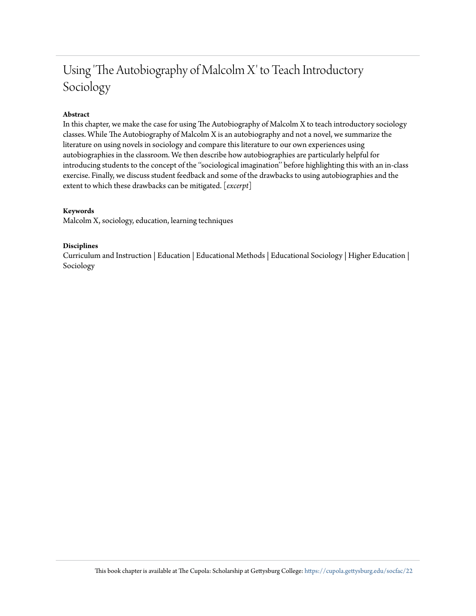# Using 'The Autobiography of Malcolm X' to Teach Introductory Sociology

# **Abstract**

In this chapter, we make the case for using The Autobiography of Malcolm X to teach introductory sociology classes. While The Autobiography of Malcolm X is an autobiography and not a novel, we summarize the literature on using novels in sociology and compare this literature to our own experiences using autobiographies in the classroom. We then describe how autobiographies are particularly helpful for introducing students to the concept of the ''sociological imagination'' before highlighting this with an in-class exercise. Finally, we discuss student feedback and some of the drawbacks to using autobiographies and the extent to which these drawbacks can be mitigated. [*excerpt*]

# **Keywords**

Malcolm X, sociology, education, learning techniques

# **Disciplines**

Curriculum and Instruction | Education | Educational Methods | Educational Sociology | Higher Education | Sociology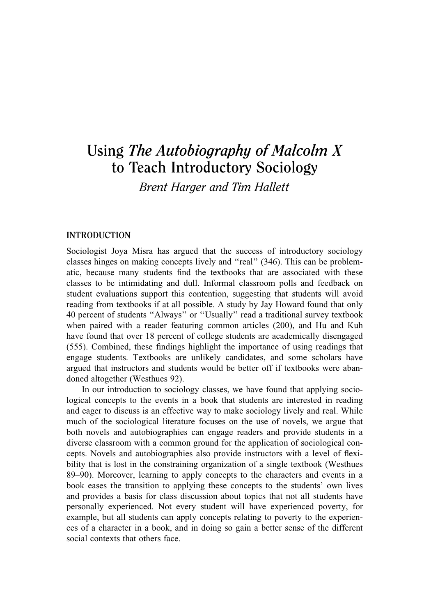# Using The Autobiography of Malcolm X to Teach Introductory Sociology

Brent Harger and Tim Hallett

# INTRODUCTION

Sociologist Joya Misra has argued that the success of introductory sociology classes hinges on making concepts lively and ''real'' (346). This can be problematic, because many students find the textbooks that are associated with these classes to be intimidating and dull. Informal classroom polls and feedback on student evaluations support this contention, suggesting that students will avoid reading from textbooks if at all possible. A study by Jay Howard found that only 40 percent of students ''Always'' or ''Usually'' read a traditional survey textbook when paired with a reader featuring common articles (200), and Hu and Kuh have found that over 18 percent of college students are academically disengaged (555). Combined, these findings highlight the importance of using readings that engage students. Textbooks are unlikely candidates, and some scholars have argued that instructors and students would be better off if textbooks were abandoned altogether (Westhues 92).

In our introduction to sociology classes, we have found that applying sociological concepts to the events in a book that students are interested in reading and eager to discuss is an effective way to make sociology lively and real. While much of the sociological literature focuses on the use of novels, we argue that both novels and autobiographies can engage readers and provide students in a diverse classroom with a common ground for the application of sociological concepts. Novels and autobiographies also provide instructors with a level of flexibility that is lost in the constraining organization of a single textbook (Westhues 89–90). Moreover, learning to apply concepts to the characters and events in a book eases the transition to applying these concepts to the students' own lives and provides a basis for class discussion about topics that not all students have personally experienced. Not every student will have experienced poverty, for example, but all students can apply concepts relating to poverty to the experiences of a character in a book, and in doing so gain a better sense of the different social contexts that others face.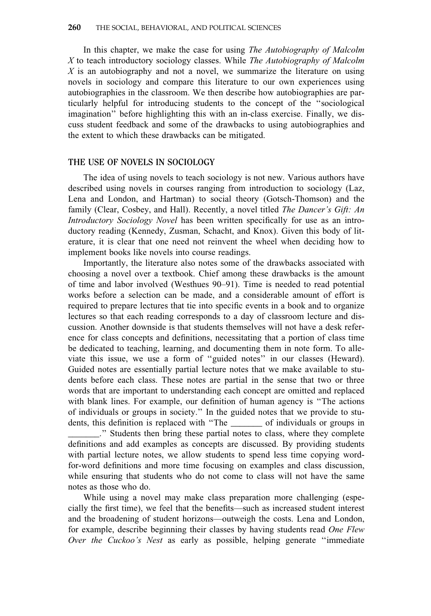In this chapter, we make the case for using The Autobiography of Malcolm X to teach introductory sociology classes. While The Autobiography of Malcolm  $X$  is an autobiography and not a novel, we summarize the literature on using novels in sociology and compare this literature to our own experiences using autobiographies in the classroom. We then describe how autobiographies are particularly helpful for introducing students to the concept of the ''sociological imagination'' before highlighting this with an in-class exercise. Finally, we discuss student feedback and some of the drawbacks to using autobiographies and the extent to which these drawbacks can be mitigated.

#### THE USE OF NOVELS IN SOCIOLOGY

The idea of using novels to teach sociology is not new. Various authors have described using novels in courses ranging from introduction to sociology (Laz, Lena and London, and Hartman) to social theory (Gotsch-Thomson) and the family (Clear, Cosbey, and Hall). Recently, a novel titled The Dancer's Gift: An Introductory Sociology Novel has been written specifically for use as an introductory reading (Kennedy, Zusman, Schacht, and Knox). Given this body of literature, it is clear that one need not reinvent the wheel when deciding how to implement books like novels into course readings.

Importantly, the literature also notes some of the drawbacks associated with choosing a novel over a textbook. Chief among these drawbacks is the amount of time and labor involved (Westhues 90–91). Time is needed to read potential works before a selection can be made, and a considerable amount of effort is required to prepare lectures that tie into specific events in a book and to organize lectures so that each reading corresponds to a day of classroom lecture and discussion. Another downside is that students themselves will not have a desk reference for class concepts and definitions, necessitating that a portion of class time be dedicated to teaching, learning, and documenting them in note form. To alleviate this issue, we use a form of ''guided notes'' in our classes (Heward). Guided notes are essentially partial lecture notes that we make available to students before each class. These notes are partial in the sense that two or three words that are important to understanding each concept are omitted and replaced with blank lines. For example, our definition of human agency is ''The actions of individuals or groups in society.'' In the guided notes that we provide to students, this definition is replaced with ''The \_\_\_\_\_\_\_ of individuals or groups in \_\_\_\_\_\_\_.'' Students then bring these partial notes to class, where they complete definitions and add examples as concepts are discussed. By providing students

with partial lecture notes, we allow students to spend less time copying wordfor-word definitions and more time focusing on examples and class discussion, while ensuring that students who do not come to class will not have the same notes as those who do.

While using a novel may make class preparation more challenging (especially the first time), we feel that the benefits—such as increased student interest and the broadening of student horizons—outweigh the costs. Lena and London, for example, describe beginning their classes by having students read One Flew Over the Cuckoo's Nest as early as possible, helping generate ''immediate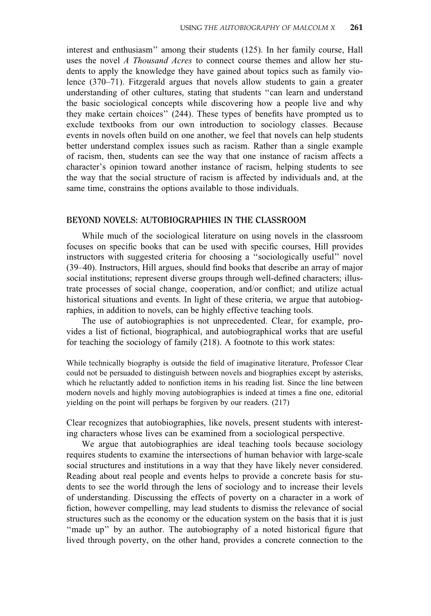interest and enthusiasm'' among their students (125). In her family course, Hall uses the novel A Thousand Acres to connect course themes and allow her students to apply the knowledge they have gained about topics such as family violence (370–71). Fitzgerald argues that novels allow students to gain a greater understanding of other cultures, stating that students ''can learn and understand the basic sociological concepts while discovering how a people live and why they make certain choices'' (244). These types of benefits have prompted us to exclude textbooks from our own introduction to sociology classes. Because events in novels often build on one another, we feel that novels can help students better understand complex issues such as racism. Rather than a single example of racism, then, students can see the way that one instance of racism affects a character's opinion toward another instance of racism, helping students to see the way that the social structure of racism is affected by individuals and, at the same time, constrains the options available to those individuals.

#### BEYOND NOVELS: AUTOBIOGRAPHIES IN THE CLASSROOM

While much of the sociological literature on using novels in the classroom focuses on specific books that can be used with specific courses, Hill provides instructors with suggested criteria for choosing a ''sociologically useful'' novel (39–40). Instructors, Hill argues, should find books that describe an array of major social institutions; represent diverse groups through well-defined characters; illustrate processes of social change, cooperation, and/or conflict; and utilize actual historical situations and events. In light of these criteria, we argue that autobiographies, in addition to novels, can be highly effective teaching tools.

The use of autobiographies is not unprecedented. Clear, for example, provides a list of fictional, biographical, and autobiographical works that are useful for teaching the sociology of family (218). A footnote to this work states:

While technically biography is outside the field of imaginative literature, Professor Clear could not be persuaded to distinguish between novels and biographies except by asterisks, which he reluctantly added to nonfiction items in his reading list. Since the line between modern novels and highly moving autobiographies is indeed at times a fine one, editorial yielding on the point will perhaps be forgiven by our readers. (217)

Clear recognizes that autobiographies, like novels, present students with interesting characters whose lives can be examined from a sociological perspective.

We argue that autobiographies are ideal teaching tools because sociology requires students to examine the intersections of human behavior with large-scale social structures and institutions in a way that they have likely never considered. Reading about real people and events helps to provide a concrete basis for students to see the world through the lens of sociology and to increase their levels of understanding. Discussing the effects of poverty on a character in a work of fiction, however compelling, may lead students to dismiss the relevance of social structures such as the economy or the education system on the basis that it is just "made up" by an author. The autobiography of a noted historical figure that lived through poverty, on the other hand, provides a concrete connection to the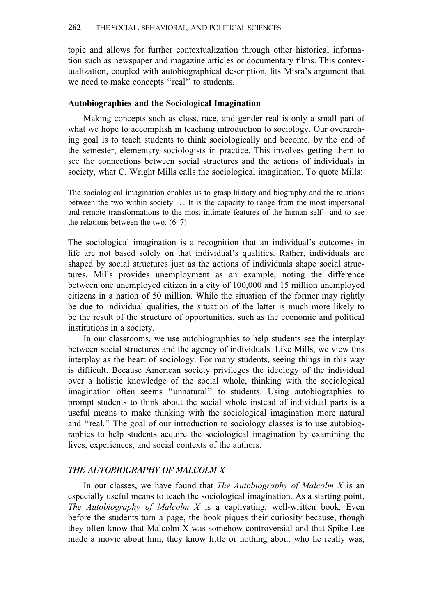topic and allows for further contextualization through other historical information such as newspaper and magazine articles or documentary films. This contextualization, coupled with autobiographical description, fits Misra's argument that we need to make concepts "real" to students.

### Autobiographies and the Sociological Imagination

Making concepts such as class, race, and gender real is only a small part of what we hope to accomplish in teaching introduction to sociology. Our overarching goal is to teach students to think sociologically and become, by the end of the semester, elementary sociologists in practice. This involves getting them to see the connections between social structures and the actions of individuals in society, what C. Wright Mills calls the sociological imagination. To quote Mills:

The sociological imagination enables us to grasp history and biography and the relations between the two within society ... It is the capacity to range from the most impersonal and remote transformations to the most intimate features of the human self—and to see the relations between the two.  $(6-7)$ 

The sociological imagination is a recognition that an individual's outcomes in life are not based solely on that individual's qualities. Rather, individuals are shaped by social structures just as the actions of individuals shape social structures. Mills provides unemployment as an example, noting the difference between one unemployed citizen in a city of 100,000 and 15 million unemployed citizens in a nation of 50 million. While the situation of the former may rightly be due to individual qualities, the situation of the latter is much more likely to be the result of the structure of opportunities, such as the economic and political institutions in a society.

In our classrooms, we use autobiographies to help students see the interplay between social structures and the agency of individuals. Like Mills, we view this interplay as the heart of sociology. For many students, seeing things in this way is difficult. Because American society privileges the ideology of the individual over a holistic knowledge of the social whole, thinking with the sociological imagination often seems ''unnatural'' to students. Using autobiographies to prompt students to think about the social whole instead of individual parts is a useful means to make thinking with the sociological imagination more natural and "real." The goal of our introduction to sociology classes is to use autobiographies to help students acquire the sociological imagination by examining the lives, experiences, and social contexts of the authors.

### THE AUTOBIOGRAPHY OF MALCOLM X

In our classes, we have found that *The Autobiography of Malcolm X* is an especially useful means to teach the sociological imagination. As a starting point, The Autobiography of Malcolm  $X$  is a captivating, well-written book. Even before the students turn a page, the book piques their curiosity because, though they often know that Malcolm X was somehow controversial and that Spike Lee made a movie about him, they know little or nothing about who he really was,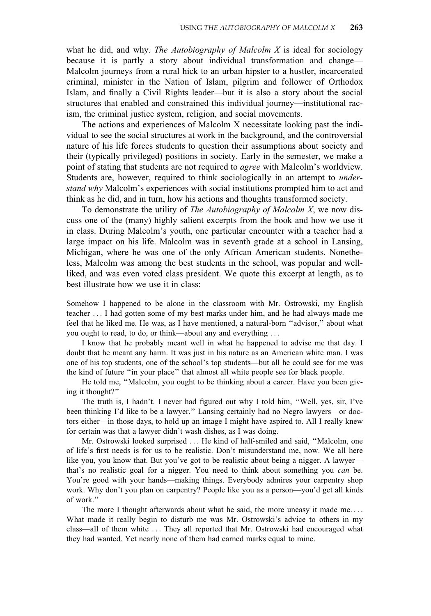what he did, and why. The Autobiography of Malcolm  $X$  is ideal for sociology because it is partly a story about individual transformation and change— Malcolm journeys from a rural hick to an urban hipster to a hustler, incarcerated criminal, minister in the Nation of Islam, pilgrim and follower of Orthodox Islam, and finally a Civil Rights leader—but it is also a story about the social structures that enabled and constrained this individual journey—institutional racism, the criminal justice system, religion, and social movements.

The actions and experiences of Malcolm X necessitate looking past the individual to see the social structures at work in the background, and the controversial nature of his life forces students to question their assumptions about society and their (typically privileged) positions in society. Early in the semester, we make a point of stating that students are not required to agree with Malcolm's worldview. Students are, however, required to think sociologically in an attempt to *under*stand why Malcolm's experiences with social institutions prompted him to act and think as he did, and in turn, how his actions and thoughts transformed society.

To demonstrate the utility of The Autobiography of Malcolm X, we now discuss one of the (many) highly salient excerpts from the book and how we use it in class. During Malcolm's youth, one particular encounter with a teacher had a large impact on his life. Malcolm was in seventh grade at a school in Lansing, Michigan, where he was one of the only African American students. Nonetheless, Malcolm was among the best students in the school, was popular and wellliked, and was even voted class president. We quote this excerpt at length, as to best illustrate how we use it in class:

Somehow I happened to be alone in the classroom with Mr. Ostrowski, my English teacher ... I had gotten some of my best marks under him, and he had always made me feel that he liked me. He was, as I have mentioned, a natural-born ''advisor,'' about what you ought to read, to do, or think—about any and everything ...

I know that he probably meant well in what he happened to advise me that day. I doubt that he meant any harm. It was just in his nature as an American white man. I was one of his top students, one of the school's top students—but all he could see for me was the kind of future ''in your place'' that almost all white people see for black people.

He told me, ''Malcolm, you ought to be thinking about a career. Have you been giving it thought?''

The truth is, I hadn't. I never had figured out why I told him, ''Well, yes, sir, I've been thinking I'd like to be a lawyer.'' Lansing certainly had no Negro lawyers—or doctors either—in those days, to hold up an image I might have aspired to. All I really knew for certain was that a lawyer didn't wash dishes, as I was doing.

Mr. Ostrowski looked surprised ... He kind of half-smiled and said, ''Malcolm, one of life's first needs is for us to be realistic. Don't misunderstand me, now. We all here like you, you know that. But you've got to be realistic about being a nigger. A lawyer that's no realistic goal for a nigger. You need to think about something you *can* be. You're good with your hands—making things. Everybody admires your carpentry shop work. Why don't you plan on carpentry? People like you as a person—you'd get all kinds of work.''

The more I thought afterwards about what he said, the more uneasy it made me.... What made it really begin to disturb me was Mr. Ostrowski's advice to others in my class—all of them white ... They all reported that Mr. Ostrowski had encouraged what they had wanted. Yet nearly none of them had earned marks equal to mine.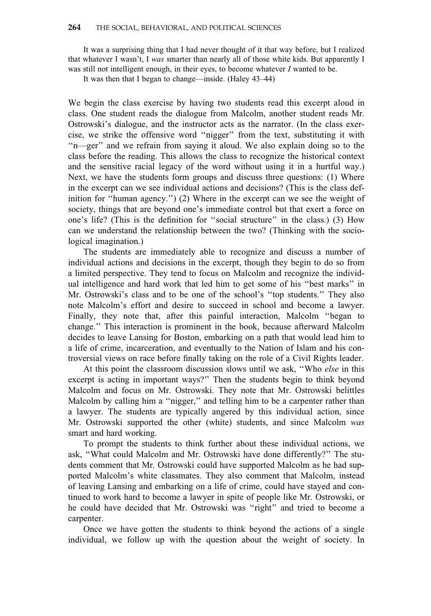It was a surprising thing that I had never thought of it that way before, but I realized that whatever I wasn't, I was smarter than nearly all of those white kids. But apparently I was still not intelligent enough, in their eyes, to become whatever I wanted to be.

It was then that I began to change—inside. (Haley 43–44)

We begin the class exercise by having two students read this excerpt aloud in class. One student reads the dialogue from Malcolm, another student reads Mr. Ostrowski's dialogue, and the instructor acts as the narrator. (In the class exercise, we strike the offensive word ''nigger'' from the text, substituting it with ''n—ger'' and we refrain from saying it aloud. We also explain doing so to the class before the reading. This allows the class to recognize the historical context and the sensitive racial legacy of the word without using it in a hurtful way.) Next, we have the students form groups and discuss three questions: (1) Where in the excerpt can we see individual actions and decisions? (This is the class definition for ''human agency.'') (2) Where in the excerpt can we see the weight of society, things that are beyond one's immediate control but that exert a force on one's life? (This is the definition for ''social structure'' in the class.) (3) How can we understand the relationship between the two? (Thinking with the sociological imagination.)

The students are immediately able to recognize and discuss a number of individual actions and decisions in the excerpt, though they begin to do so from a limited perspective. They tend to focus on Malcolm and recognize the individual intelligence and hard work that led him to get some of his ''best marks'' in Mr. Ostrowski's class and to be one of the school's ''top students.'' They also note Malcolm's effort and desire to succeed in school and become a lawyer. Finally, they note that, after this painful interaction, Malcolm ''began to change.'' This interaction is prominent in the book, because afterward Malcolm decides to leave Lansing for Boston, embarking on a path that would lead him to a life of crime, incarceration, and eventually to the Nation of Islam and his controversial views on race before finally taking on the role of a Civil Rights leader.

At this point the classroom discussion slows until we ask, "Who else in this excerpt is acting in important ways?'' Then the students begin to think beyond Malcolm and focus on Mr. Ostrowski. They note that Mr. Ostrowski belittles Malcolm by calling him a "nigger," and telling him to be a carpenter rather than a lawyer. The students are typically angered by this individual action, since Mr. Ostrowski supported the other (white) students, and since Malcolm was smart and hard working.

To prompt the students to think further about these individual actions, we ask, ''What could Malcolm and Mr. Ostrowski have done differently?'' The students comment that Mr. Ostrowski could have supported Malcolm as he had supported Malcolm's white classmates. They also comment that Malcolm, instead of leaving Lansing and embarking on a life of crime, could have stayed and continued to work hard to become a lawyer in spite of people like Mr. Ostrowski, or he could have decided that Mr. Ostrowski was ''right'' and tried to become a carpenter.

Once we have gotten the students to think beyond the actions of a single individual, we follow up with the question about the weight of society. In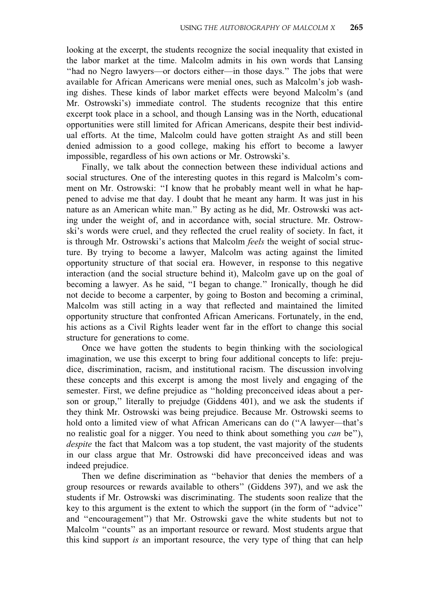looking at the excerpt, the students recognize the social inequality that existed in the labor market at the time. Malcolm admits in his own words that Lansing "had no Negro lawyers—or doctors either—in those days." The jobs that were available for African Americans were menial ones, such as Malcolm's job washing dishes. These kinds of labor market effects were beyond Malcolm's (and Mr. Ostrowski's) immediate control. The students recognize that this entire excerpt took place in a school, and though Lansing was in the North, educational opportunities were still limited for African Americans, despite their best individual efforts. At the time, Malcolm could have gotten straight As and still been denied admission to a good college, making his effort to become a lawyer impossible, regardless of his own actions or Mr. Ostrowski's.

Finally, we talk about the connection between these individual actions and social structures. One of the interesting quotes in this regard is Malcolm's comment on Mr. Ostrowski: ''I know that he probably meant well in what he happened to advise me that day. I doubt that he meant any harm. It was just in his nature as an American white man.'' By acting as he did, Mr. Ostrowski was acting under the weight of, and in accordance with, social structure. Mr. Ostrowski's words were cruel, and they reflected the cruel reality of society. In fact, it is through Mr. Ostrowski's actions that Malcolm feels the weight of social structure. By trying to become a lawyer, Malcolm was acting against the limited opportunity structure of that social era. However, in response to this negative interaction (and the social structure behind it), Malcolm gave up on the goal of becoming a lawyer. As he said, ''I began to change.'' Ironically, though he did not decide to become a carpenter, by going to Boston and becoming a criminal, Malcolm was still acting in a way that reflected and maintained the limited opportunity structure that confronted African Americans. Fortunately, in the end, his actions as a Civil Rights leader went far in the effort to change this social structure for generations to come.

Once we have gotten the students to begin thinking with the sociological imagination, we use this excerpt to bring four additional concepts to life: prejudice, discrimination, racism, and institutional racism. The discussion involving these concepts and this excerpt is among the most lively and engaging of the semester. First, we define prejudice as ''holding preconceived ideas about a person or group,'' literally to prejudge (Giddens 401), and we ask the students if they think Mr. Ostrowski was being prejudice. Because Mr. Ostrowski seems to hold onto a limited view of what African Americans can do (''A lawyer—that's no realistic goal for a nigger. You need to think about something you can be''), despite the fact that Malcom was a top student, the vast majority of the students in our class argue that Mr. Ostrowski did have preconceived ideas and was indeed prejudice.

Then we define discrimination as ''behavior that denies the members of a group resources or rewards available to others'' (Giddens 397), and we ask the students if Mr. Ostrowski was discriminating. The students soon realize that the key to this argument is the extent to which the support (in the form of ''advice'' and ''encouragement'') that Mr. Ostrowski gave the white students but not to Malcolm "counts" as an important resource or reward. Most students argue that this kind support is an important resource, the very type of thing that can help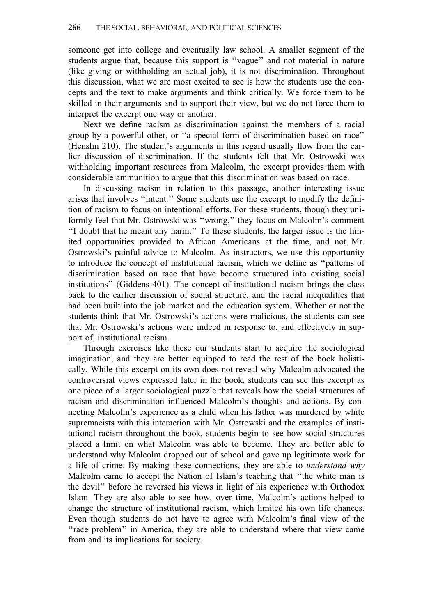someone get into college and eventually law school. A smaller segment of the students argue that, because this support is ''vague'' and not material in nature (like giving or withholding an actual job), it is not discrimination. Throughout this discussion, what we are most excited to see is how the students use the concepts and the text to make arguments and think critically. We force them to be skilled in their arguments and to support their view, but we do not force them to interpret the excerpt one way or another.

Next we define racism as discrimination against the members of a racial group by a powerful other, or ''a special form of discrimination based on race'' (Henslin 210). The student's arguments in this regard usually flow from the earlier discussion of discrimination. If the students felt that Mr. Ostrowski was withholding important resources from Malcolm, the excerpt provides them with considerable ammunition to argue that this discrimination was based on race.

In discussing racism in relation to this passage, another interesting issue arises that involves ''intent.'' Some students use the excerpt to modify the definition of racism to focus on intentional efforts. For these students, though they uniformly feel that Mr. Ostrowski was ''wrong,'' they focus on Malcolm's comment ''I doubt that he meant any harm.'' To these students, the larger issue is the limited opportunities provided to African Americans at the time, and not Mr. Ostrowski's painful advice to Malcolm. As instructors, we use this opportunity to introduce the concept of institutional racism, which we define as ''patterns of discrimination based on race that have become structured into existing social institutions'' (Giddens 401). The concept of institutional racism brings the class back to the earlier discussion of social structure, and the racial inequalities that had been built into the job market and the education system. Whether or not the students think that Mr. Ostrowski's actions were malicious, the students can see that Mr. Ostrowski's actions were indeed in response to, and effectively in support of, institutional racism.

Through exercises like these our students start to acquire the sociological imagination, and they are better equipped to read the rest of the book holistically. While this excerpt on its own does not reveal why Malcolm advocated the controversial views expressed later in the book, students can see this excerpt as one piece of a larger sociological puzzle that reveals how the social structures of racism and discrimination influenced Malcolm's thoughts and actions. By connecting Malcolm's experience as a child when his father was murdered by white supremacists with this interaction with Mr. Ostrowski and the examples of institutional racism throughout the book, students begin to see how social structures placed a limit on what Malcolm was able to become. They are better able to understand why Malcolm dropped out of school and gave up legitimate work for a life of crime. By making these connections, they are able to understand why Malcolm came to accept the Nation of Islam's teaching that ''the white man is the devil'' before he reversed his views in light of his experience with Orthodox Islam. They are also able to see how, over time, Malcolm's actions helped to change the structure of institutional racism, which limited his own life chances. Even though students do not have to agree with Malcolm's final view of the "race problem" in America, they are able to understand where that view came from and its implications for society.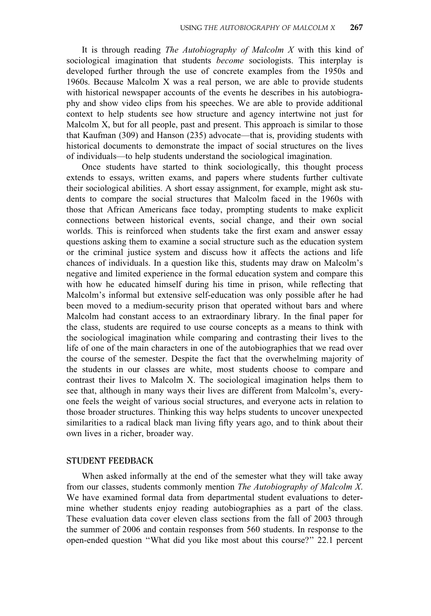It is through reading *The Autobiography of Malcolm X* with this kind of sociological imagination that students *become* sociologists. This interplay is developed further through the use of concrete examples from the 1950s and 1960s. Because Malcolm X was a real person, we are able to provide students with historical newspaper accounts of the events he describes in his autobiography and show video clips from his speeches. We are able to provide additional context to help students see how structure and agency intertwine not just for Malcolm X, but for all people, past and present. This approach is similar to those that Kaufman (309) and Hanson (235) advocate—that is, providing students with historical documents to demonstrate the impact of social structures on the lives of individuals—to help students understand the sociological imagination.

Once students have started to think sociologically, this thought process extends to essays, written exams, and papers where students further cultivate their sociological abilities. A short essay assignment, for example, might ask students to compare the social structures that Malcolm faced in the 1960s with those that African Americans face today, prompting students to make explicit connections between historical events, social change, and their own social worlds. This is reinforced when students take the first exam and answer essay questions asking them to examine a social structure such as the education system or the criminal justice system and discuss how it affects the actions and life chances of individuals. In a question like this, students may draw on Malcolm's negative and limited experience in the formal education system and compare this with how he educated himself during his time in prison, while reflecting that Malcolm's informal but extensive self-education was only possible after he had been moved to a medium-security prison that operated without bars and where Malcolm had constant access to an extraordinary library. In the final paper for the class, students are required to use course concepts as a means to think with the sociological imagination while comparing and contrasting their lives to the life of one of the main characters in one of the autobiographies that we read over the course of the semester. Despite the fact that the overwhelming majority of the students in our classes are white, most students choose to compare and contrast their lives to Malcolm X. The sociological imagination helps them to see that, although in many ways their lives are different from Malcolm's, everyone feels the weight of various social structures, and everyone acts in relation to those broader structures. Thinking this way helps students to uncover unexpected similarities to a radical black man living fifty years ago, and to think about their own lives in a richer, broader way.

#### STUDENT FEEDBACK

When asked informally at the end of the semester what they will take away from our classes, students commonly mention The Autobiography of Malcolm X. We have examined formal data from departmental student evaluations to determine whether students enjoy reading autobiographies as a part of the class. These evaluation data cover eleven class sections from the fall of 2003 through the summer of 2006 and contain responses from 560 students. In response to the open-ended question ''What did you like most about this course?'' 22.1 percent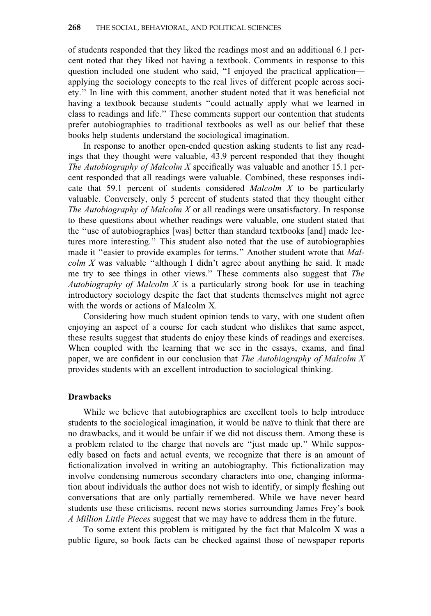of students responded that they liked the readings most and an additional 6.1 percent noted that they liked not having a textbook. Comments in response to this question included one student who said, ''I enjoyed the practical application applying the sociology concepts to the real lives of different people across society.'' In line with this comment, another student noted that it was beneficial not having a textbook because students ''could actually apply what we learned in class to readings and life.'' These comments support our contention that students prefer autobiographies to traditional textbooks as well as our belief that these books help students understand the sociological imagination.

In response to another open-ended question asking students to list any readings that they thought were valuable, 43.9 percent responded that they thought The Autobiography of Malcolm X specifically was valuable and another 15.1 percent responded that all readings were valuable. Combined, these responses indicate that 59.1 percent of students considered  $Malcolm X$  to be particularly valuable. Conversely, only 5 percent of students stated that they thought either The Autobiography of Malcolm  $X$  or all readings were unsatisfactory. In response to these questions about whether readings were valuable, one student stated that the ''use of autobiographies [was] better than standard textbooks [and] made lectures more interesting.'' This student also noted that the use of autobiographies made it "easier to provide examples for terms." Another student wrote that Mal- $\text{colm } X$  was valuable "although I didn't agree about anything he said. It made me try to see things in other views." These comments also suggest that The Autobiography of Malcolm  $X$  is a particularly strong book for use in teaching introductory sociology despite the fact that students themselves might not agree with the words or actions of Malcolm X.

Considering how much student opinion tends to vary, with one student often enjoying an aspect of a course for each student who dislikes that same aspect, these results suggest that students do enjoy these kinds of readings and exercises. When coupled with the learning that we see in the essays, exams, and final paper, we are confident in our conclusion that The Autobiography of Malcolm  $X$ provides students with an excellent introduction to sociological thinking.

#### Drawbacks

While we believe that autobiographies are excellent tools to help introduce students to the sociological imagination, it would be naïve to think that there are no drawbacks, and it would be unfair if we did not discuss them. Among these is a problem related to the charge that novels are ''just made up.'' While supposedly based on facts and actual events, we recognize that there is an amount of fictionalization involved in writing an autobiography. This fictionalization may involve condensing numerous secondary characters into one, changing information about individuals the author does not wish to identify, or simply fleshing out conversations that are only partially remembered. While we have never heard students use these criticisms, recent news stories surrounding James Frey's book A Million Little Pieces suggest that we may have to address them in the future.

To some extent this problem is mitigated by the fact that Malcolm X was a public figure, so book facts can be checked against those of newspaper reports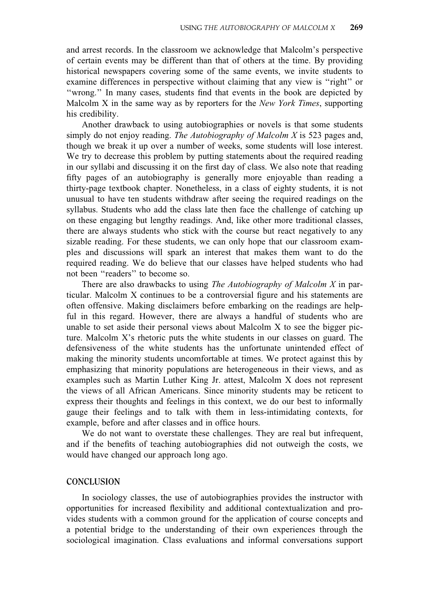and arrest records. In the classroom we acknowledge that Malcolm's perspective of certain events may be different than that of others at the time. By providing historical newspapers covering some of the same events, we invite students to examine differences in perspective without claiming that any view is "right" or ''wrong.'' In many cases, students find that events in the book are depicted by Malcolm X in the same way as by reporters for the *New York Times*, supporting his credibility.

Another drawback to using autobiographies or novels is that some students simply do not enjoy reading. The Autobiography of Malcolm X is 523 pages and, though we break it up over a number of weeks, some students will lose interest. We try to decrease this problem by putting statements about the required reading in our syllabi and discussing it on the first day of class. We also note that reading fifty pages of an autobiography is generally more enjoyable than reading a thirty-page textbook chapter. Nonetheless, in a class of eighty students, it is not unusual to have ten students withdraw after seeing the required readings on the syllabus. Students who add the class late then face the challenge of catching up on these engaging but lengthy readings. And, like other more traditional classes, there are always students who stick with the course but react negatively to any sizable reading. For these students, we can only hope that our classroom examples and discussions will spark an interest that makes them want to do the required reading. We do believe that our classes have helped students who had not been ''readers'' to become so.

There are also drawbacks to using *The Autobiography of Malcolm X* in particular. Malcolm X continues to be a controversial figure and his statements are often offensive. Making disclaimers before embarking on the readings are helpful in this regard. However, there are always a handful of students who are unable to set aside their personal views about Malcolm X to see the bigger picture. Malcolm X's rhetoric puts the white students in our classes on guard. The defensiveness of the white students has the unfortunate unintended effect of making the minority students uncomfortable at times. We protect against this by emphasizing that minority populations are heterogeneous in their views, and as examples such as Martin Luther King Jr. attest, Malcolm X does not represent the views of all African Americans. Since minority students may be reticent to express their thoughts and feelings in this context, we do our best to informally gauge their feelings and to talk with them in less-intimidating contexts, for example, before and after classes and in office hours.

We do not want to overstate these challenges. They are real but infrequent, and if the benefits of teaching autobiographies did not outweigh the costs, we would have changed our approach long ago.

#### **CONCLUSION**

In sociology classes, the use of autobiographies provides the instructor with opportunities for increased flexibility and additional contextualization and provides students with a common ground for the application of course concepts and a potential bridge to the understanding of their own experiences through the sociological imagination. Class evaluations and informal conversations support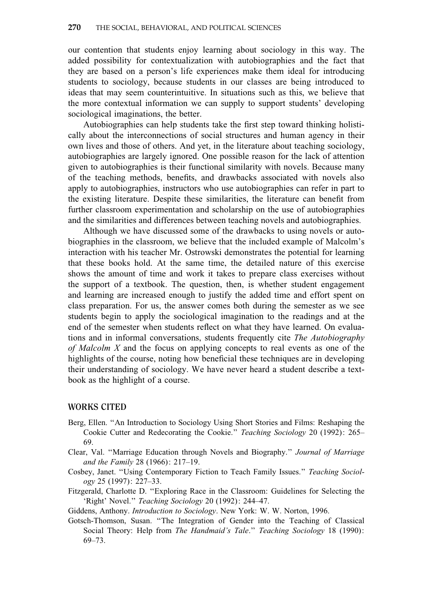our contention that students enjoy learning about sociology in this way. The added possibility for contextualization with autobiographies and the fact that they are based on a person's life experiences make them ideal for introducing students to sociology, because students in our classes are being introduced to ideas that may seem counterintuitive. In situations such as this, we believe that the more contextual information we can supply to support students' developing sociological imaginations, the better.

Autobiographies can help students take the first step toward thinking holistically about the interconnections of social structures and human agency in their own lives and those of others. And yet, in the literature about teaching sociology, autobiographies are largely ignored. One possible reason for the lack of attention given to autobiographies is their functional similarity with novels. Because many of the teaching methods, benefits, and drawbacks associated with novels also apply to autobiographies, instructors who use autobiographies can refer in part to the existing literature. Despite these similarities, the literature can benefit from further classroom experimentation and scholarship on the use of autobiographies and the similarities and differences between teaching novels and autobiographies.

Although we have discussed some of the drawbacks to using novels or autobiographies in the classroom, we believe that the included example of Malcolm's interaction with his teacher Mr. Ostrowski demonstrates the potential for learning that these books hold. At the same time, the detailed nature of this exercise shows the amount of time and work it takes to prepare class exercises without the support of a textbook. The question, then, is whether student engagement and learning are increased enough to justify the added time and effort spent on class preparation. For us, the answer comes both during the semester as we see students begin to apply the sociological imagination to the readings and at the end of the semester when students reflect on what they have learned. On evaluations and in informal conversations, students frequently cite The Autobiography of Malcolm X and the focus on applying concepts to real events as one of the highlights of the course, noting how beneficial these techniques are in developing their understanding of sociology. We have never heard a student describe a textbook as the highlight of a course.

### WORKS CITED

- Berg, Ellen. ''An Introduction to Sociology Using Short Stories and Films: Reshaping the Cookie Cutter and Redecorating the Cookie.'' Teaching Sociology 20 (1992): 265– 69.
- Clear, Val. ''Marriage Education through Novels and Biography.'' Journal of Marriage and the Family 28 (1966): 217–19.
- Cosbey, Janet. ''Using Contemporary Fiction to Teach Family Issues.'' Teaching Sociology 25 (1997): 227–33.
- Fitzgerald, Charlotte D. ''Exploring Race in the Classroom: Guidelines for Selecting the 'Right' Novel.'' Teaching Sociology 20 (1992): 244–47.
- Giddens, Anthony. Introduction to Sociology. New York: W. W. Norton, 1996.
- Gotsch-Thomson, Susan. ''The Integration of Gender into the Teaching of Classical Social Theory: Help from The Handmaid's Tale." Teaching Sociology 18 (1990): 69–73.